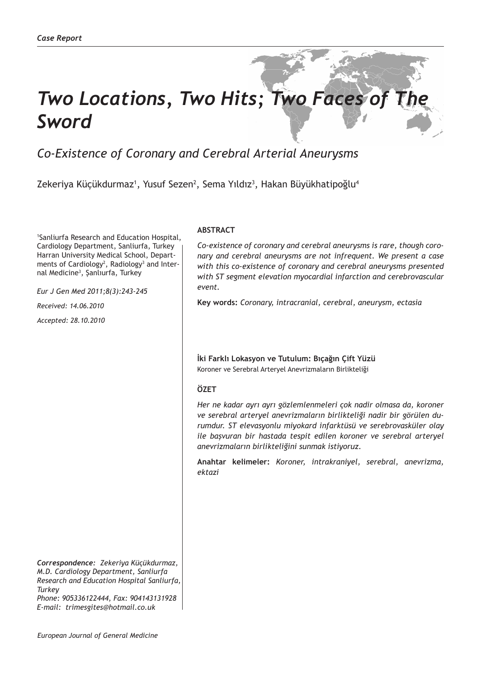# *Two Locations, Two Hits; Two Faces of The Sword*

# *Co-Existence of Coronary and Cerebral Arterial Aneurysms*

Zekeriya Küçükdurmaz<sup>ı</sup>, Yusuf Sezen<sup>2</sup>, Sema Yıldız<sup>3</sup>, Hakan Büyükhatipoğlu<sup>4</sup>

1 Sanliurfa Research and Education Hospital, Cardiology Department, Sanliurfa, Turkey Harran University Medical School, Departments of Cardiology<sup>2</sup>, Radiology<sup>3</sup> and Internal Medicine<sup>3</sup>, Şanlıurfa, Turkey

*Eur J Gen Med 2011;8(3):243-245*

*Received: 14.06.2010*

*Accepted: 28.10.2010*

*Correspondence: Zekeriya Küçükdurmaz, M.D. Cardiology Department, Sanliurfa Research and Education Hospital Sanliurfa, Turkey*

*Phone: 905336122444, Fax: 904143131928 E-mail: trimesgites@hotmail.co.uk*

# **ABSTRACT**

*Co-existence of coronary and cerebral aneurysms is rare, though coronary and cerebral aneurysms are not infrequent. We present a case with this co-existence of coronary and cerebral aneurysms presented with ST segment elevation myocardial infarction and cerebrovascular event.* 

**Key words:** *Coronary, intracranial, cerebral, aneurysm, ectasia*

**İki Farklı Lokasyon ve Tutulum: Bıçağın Çift Yüzü** Koroner ve Serebral Arteryel Anevrizmaların Birlikteliği

# **ÖZET**

*Her ne kadar ayrı ayrı gözlemlenmeleri çok nadir olmasa da, koroner ve serebral arteryel anevrizmaların birlikteliği nadir bir görülen durumdur. ST elevasyonlu miyokard infarktüsü ve serebrovasküler olay ile başvuran bir hastada tespit edilen koroner ve serebral arteryel anevrizmaların birlikteliğini sunmak istiyoruz.*

**Anahtar kelimeler:** *Koroner, intrakraniyel, serebral, anevrizma, ektazi*